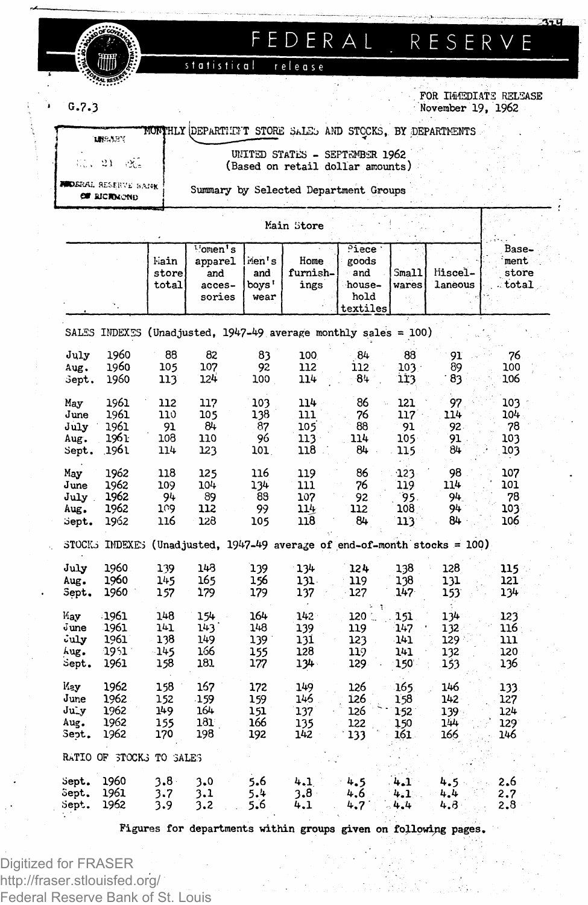# **FEDERA L . RESERV E**

statistical release

**G.7.3** 

### **FOR IMMEDIATE RELEASE November 19, 1962**

⁄เรน

**!HLY [DEPARTIXFT STORE SaLSj AND STOCKS, BY .DEPARTMENTS MISARY** 

 $55.21 - 21$ **«\*>£I<AL HESEKVL :,A;SK €\* BlCHfcCNl)**

**UNITED STATES - SEPTEMBER 1962 (Based on retail dollar amounts)**

**Summary by Selected Department Groups**

**Main Store**

|                                                                              |                          |                | $\frac{1}{2}$ omen <sup>1</sup> s |       |          | Piece '              |         |          | Base- |  |  |  |
|------------------------------------------------------------------------------|--------------------------|----------------|-----------------------------------|-------|----------|----------------------|---------|----------|-------|--|--|--|
|                                                                              |                          | hain           | apparel                           | Men's | Home     | goods                |         |          | ment  |  |  |  |
|                                                                              |                          | store          | and                               | and   | furnish- | and                  | Small   | liiscel- | store |  |  |  |
|                                                                              |                          | $_{\rm total}$ | acces-                            | boys' | ings     | house-               | wares   | laneous  | total |  |  |  |
|                                                                              |                          |                | sories                            | wear  |          | hold                 |         |          |       |  |  |  |
|                                                                              |                          |                |                                   |       |          | textiles             |         |          |       |  |  |  |
|                                                                              |                          |                |                                   |       |          |                      |         |          |       |  |  |  |
| SALES INDEXES (Unadjusted, 1947-49 average monthly sales = 100)              |                          |                |                                   |       |          |                      |         |          |       |  |  |  |
| July                                                                         | 1960                     | 88             | 82                                | 83    | 100      | 84                   | 88      | 91       | 76    |  |  |  |
| Aug.                                                                         | 1960                     | 105            | 107                               | 92    | 112      | 112                  | $103 -$ | 89       | 100   |  |  |  |
| Sept.                                                                        | 1960                     | 113            | 124                               | 100   | 114      | 84                   | 113     | 83       | 106   |  |  |  |
|                                                                              |                          |                |                                   |       |          |                      |         |          |       |  |  |  |
| May                                                                          | 1961                     | 112            | 117                               | 103   | 114      | 86                   | 121     | 97       | 103   |  |  |  |
| June                                                                         | 1961                     | 110            | 105                               | 138   | 111      | 76                   | 117     | 114      | 104   |  |  |  |
| July                                                                         | 1961                     | 91             | 84                                | 87    | 105      | 88                   | 91      | 92.      | 78    |  |  |  |
| Aug.                                                                         | 1961                     | 108            | 110                               | 96    | 113      | 114                  | 105     | 91       | 103   |  |  |  |
| Sept.                                                                        | 1961.                    | 114            | 123                               | 101   | 118      | 84                   | 115     | 84       | 103   |  |  |  |
|                                                                              |                          |                |                                   |       |          |                      |         |          |       |  |  |  |
| May                                                                          | 1962                     | 118            | 125                               | 116   | 119      | 86                   | 123     | 98       | 107   |  |  |  |
| June                                                                         | 1962                     | 109            | 104                               | 134   | 111      | 76                   | 119     | 114      | 101   |  |  |  |
| July.                                                                        | 1962                     | 94             | 89                                | 88    | 107      | 92                   | 95.     | 94       | 78    |  |  |  |
| Aug.                                                                         | 1962                     | 109            | 112                               | 99    | 114      | 112                  | 108     | 94       | 103   |  |  |  |
| Sept.                                                                        | 1962                     | 116            | 128                               | 105   | 118      | 84                   | 113     | 84       | 106   |  |  |  |
| STOCKS INDEXES<br>(Unadjusted, 1947-49 average of end-of-month stocks = 100) |                          |                |                                   |       |          |                      |         |          |       |  |  |  |
| July                                                                         | 1960                     | 139            | 143                               | 139   | 134      | 124                  | 138     | 128      | 115   |  |  |  |
| Aug.                                                                         | 1960                     | 145            | 165                               | 156   | 131.     | 119                  | 138     | 131      | 121   |  |  |  |
| Sept.                                                                        | 1960                     | 157            | 179                               | 179   | 137      | 127                  | 147     | 153      | 134   |  |  |  |
|                                                                              |                          |                |                                   |       |          | $\ddot{\phantom{a}}$ |         |          |       |  |  |  |
| May                                                                          | 1961                     | 148            | 154                               | 164   | $142 -$  | $120 -$              | 151     | 134      | 123   |  |  |  |
| June                                                                         | 1961                     | 141            | 143                               | 148   | 139      | 119                  | 147     | 132      | 116   |  |  |  |
| July                                                                         | 1961                     | 138            | 149                               | 139.  | 131      | 123                  | 141     | 129 :    | 111   |  |  |  |
| hug.                                                                         | 1951                     | $-145$         | 166                               | 155   | 128      | 119                  | 141     | 132      | 120   |  |  |  |
| sept.                                                                        | 1961                     | 158            | 181                               | 177   | $134 -$  | 129                  | 150     | 153      | 136   |  |  |  |
|                                                                              |                          |                |                                   |       |          |                      |         |          |       |  |  |  |
| Kay                                                                          | 1962                     | 158            | 167                               | 172   | 149      | 126                  | 165     | 146      | 133   |  |  |  |
| June                                                                         | 1962                     | 152            | $-159$                            | 159   | 146      | 126                  | 158     | 142      | 127   |  |  |  |
| July                                                                         | 1962                     | 149            | 164                               | 151   | 137      | 126                  | 1.52    | 139      | 124   |  |  |  |
| Aug.                                                                         | 1962                     | 155            | 181                               | 166   | 135      | 122                  | 150     | 144      | 129   |  |  |  |
| Sept.                                                                        | 1962                     | 170            | 198                               | 192   | 142      | 133                  | 161     | 166      | 146   |  |  |  |
|                                                                              | RATIO OF 3TOCK3 TO SALES |                |                                   |       |          |                      |         |          |       |  |  |  |
| Sept.                                                                        | 1960                     | $3.8 -$        | 3.0                               | 5.6   | 4.1      | 4.5                  | 4.1     | 4.5      | 2.6   |  |  |  |
| Sept.                                                                        | 1961                     | 3.7            | 3.1                               | 5.4   | 3.8      | 4.6                  | 4.1     | 4.4      | 2.7   |  |  |  |
| Sept.                                                                        | 1962                     | 3.9            | 3.2                               | 5.6   | 4.1      | 4.7                  | $-4.4$  | 4.8      | 2.8   |  |  |  |
|                                                                              |                          |                |                                   |       |          |                      |         |          |       |  |  |  |

**Figures for departments within groups given on following pages.**

Digitized for FRASER http://fraser.stlouisfed.org/ Federal Reserve Bank of St. Louis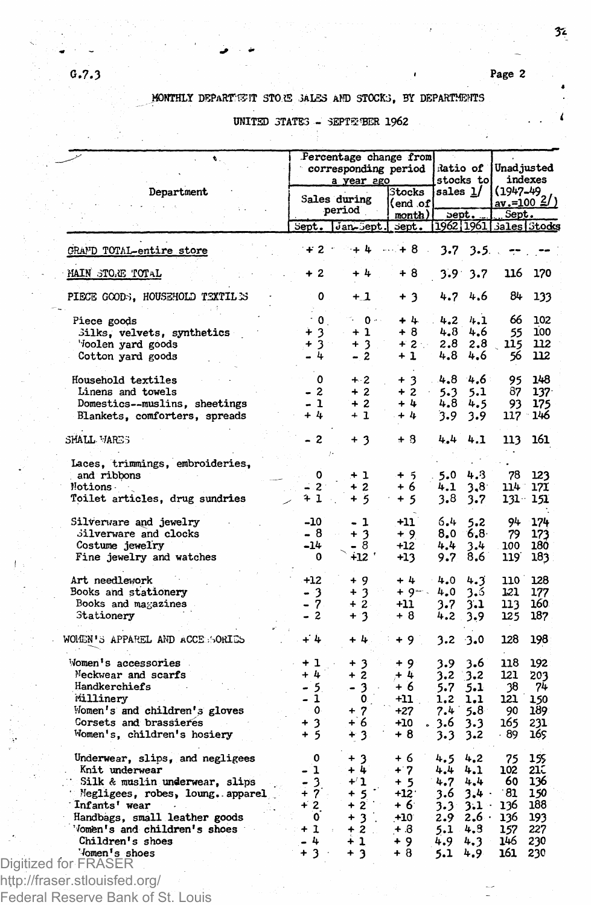## **MONTHLY DEPARTS?IT STOffi SALES AND STOCKS, BY DEPARTMENTS**

# **UNITED STATES - 3EPT3M3ER 1962**

|                                  |              | Percentage change from<br>corresponding period<br>a year ago | Ratio of<br>stocks to |                            | Unadjusted<br>indexes |                                      |  |
|----------------------------------|--------------|--------------------------------------------------------------|-----------------------|----------------------------|-----------------------|--------------------------------------|--|
| Department                       |              | Sales during                                                 | Stocks<br>end .of     | sales <u>l</u> /           |                       | $(1947-49)$<br>av.=100 $\frac{2}{3}$ |  |
|                                  |              | period                                                       | month)                | sept.                      | Sept.                 |                                      |  |
|                                  | Sept.        | Jan-Sept.                                                    | sept.                 | 1962 1961   Jales   Stocks |                       |                                      |  |
| <b>CRAMD TOTAL-entire store</b>  | $+2$         | $+4$                                                         | $-4.48$               | 3.7<br>3.5.                |                       |                                      |  |
| MAIN STORE TOTAL                 | $+2$         | $+4$                                                         | + 8                   | $3.9 -$<br>3.7             | 116                   | 170                                  |  |
| PIECE GOODS, HOUSEHOLD TEXTILES  | ٥            | $+1$                                                         | + 3                   | 4.7<br>4.6                 | 84                    | 133                                  |  |
| Piece goods                      | $\cdot$ 0.   | ∿ 0.∘                                                        | $+4.$                 | 4.2<br>4.1                 | 66                    | 102                                  |  |
| Silks, velvets, synthetics       | $+3$         | $+1$                                                         | + 8                   | 4.8<br>4.6                 | 55                    | 100                                  |  |
| Voolen yard goods                | $+3$         | $+3$                                                         | $+2$ .                | 2.8<br>2.8                 | 115                   | 112                                  |  |
| Cotton yard goods                | - 4          | - 2                                                          | $+1$                  | 4.8<br>4.6                 | 56                    | 112                                  |  |
|                                  |              |                                                              |                       |                            |                       |                                      |  |
| Household textiles               | 0            | $+2$                                                         | $+3$                  | 4.8<br>4.6                 | 95                    | 148                                  |  |
| Linens and towels                | $-2$         | $+2$                                                         | $+2$                  | 5.1<br>5.3                 | 87                    | 137                                  |  |
| Domestics--muslins, sheetings    | - 1          | $+2$                                                         | + 4                   | 4.8<br>4.5                 | 93                    | 175                                  |  |
| Blankets, comforters, spreads    | $+4$         | $+1$                                                         | $+4$                  | 3.9<br>3.9                 |                       | 117 146                              |  |
| SMALL MARES                      | - 2          | $+3$                                                         | $+3$                  | 4.4<br>4.1                 | 113                   | 161                                  |  |
| Laces, trimmings, embroideries,  |              |                                                              |                       |                            |                       |                                      |  |
| and ribbons                      | 0            | $+1$                                                         | $+5$                  | 5.0<br>4.3                 | 78                    | 123                                  |  |
| Motions -                        | $-2$         | $+2$                                                         | + 6                   | 4.1<br>3,8                 |                       | 114 171                              |  |
| Toilet articles, drug sundries   | 41           | + 5                                                          | $+5$                  | 3.8<br>3.7                 |                       | 131 151                              |  |
| Silverware and jewelry           | $-10$        | - 1                                                          | $+11$                 | 6.4<br>5.2                 | 94                    | 174                                  |  |
| Silverware and clocks            | - 8          | $+3$                                                         | $+9$                  | 8,0<br>6,8                 | 79                    | 173                                  |  |
| Costume jewelry                  | $-14$        | - 8                                                          | $+12$                 | 4,4<br>3.4                 | 100                   | 180                                  |  |
| Fine jewelry and watches         | $\mathbf 0$  | +12 '                                                        | $+13$                 | 8.6<br>9.7                 | 119                   | 183                                  |  |
| Art needlework                   | $+12$        | + 9                                                          | + 4                   | 4.0<br>4.3                 | 110                   | 128                                  |  |
| Books and stationery             | - 3          | $+3$                                                         | $+9-$                 | 4.0<br>3.6                 | 121                   | 177                                  |  |
| Books and magazines              | - 7          | $+2$                                                         | +11                   | 3.7<br>3.1                 | 113                   | 160.                                 |  |
| Stationery                       | - 2          | $+3$                                                         | + 8                   | 4.2<br>3.9                 | 125                   | 187                                  |  |
| WOMEN'S APPAREL AND ACCESSORIES  | $+4$         | + 4                                                          | $+9$                  | 3.2<br>3.0                 | 128                   | 198                                  |  |
|                                  |              |                                                              |                       |                            |                       |                                      |  |
| Women's accessories              | $+1$         | + 3                                                          | $+9$                  | 3.9<br>3.6                 | 118                   | 192                                  |  |
| Meckwear and scarfs              | $+4$         | $+2$                                                         | + 4                   | 3,2<br>3.2                 | 121                   | 203                                  |  |
| Handkerchiefs                    | - 5          | - 3                                                          | + 6                   | 5.7<br>5.1                 | 38                    | 7 <sup>1</sup>                       |  |
| Millinery                        | $-1$         | $\mathbf{0}$                                                 | $+11$                 | 1.2<br>1.1                 | 121                   | 150                                  |  |
| Momen's and children's gloves    | $\mathbf{o}$ | $+7$                                                         | +27                   | 7.4<br>5.8                 | 90                    | 189                                  |  |
| Corsets and brassieres           | $+3$         | + 6                                                          | $+10$                 | 3.6<br>3.3                 | 165                   | 231                                  |  |
| Women's, children's hosiery      | $+5$         | $+3$                                                         | + 8                   | 3.3<br>3.2                 | - 89                  | 165                                  |  |
| Underwear, slips, and negligees  | $\mathbf 0$  | + 3                                                          | + 6                   | 4.5<br>4.2                 | 75                    | 155                                  |  |
| Knit underwear                   | $-1$         | + 4                                                          | $+7$                  | 4.1<br>4.4                 | 102                   | 21C                                  |  |
| Silk & muslin underwear, slips   | - 3          | $+1$                                                         | $+5$                  | 4.7<br>4.4                 | 60                    | 136                                  |  |
| Megligees, robes, loung. apparel | $+7$         | $+5$                                                         | $+12.$                | 3.6<br>$3.4 -$             | - 81                  | 150                                  |  |
| Infants' wear                    | $+2$         | $+2$                                                         | + 6                   | 3.3<br>$3.1 -$             | 136                   | 188                                  |  |
| Handbags, small leather goods    | 0            | $+3$                                                         | $+10^{-}$             | 2.9<br>$2.6 -$             | 136                   | 193                                  |  |
| 'Omen's and children's shoes     | $+1$         | $+2$ .                                                       | $+ .8$                | 4.3                        | 157                   | 227                                  |  |
|                                  |              |                                                              |                       | 5.1                        |                       |                                      |  |
| Children's shoes                 | - 4          | $+1$                                                         | + 9                   | 4.9<br>4.3                 | 146                   | 230                                  |  |
| 'Jomen's shoes                   | $+3$         | $+3$                                                         | $+8$                  | 5.1<br>4.9                 | 161                   | 230                                  |  |
| Digitized for FRASER             |              |                                                              |                       |                            |                       |                                      |  |

Federal Reserve Bank of St. Louis

 $\mathbf{I}$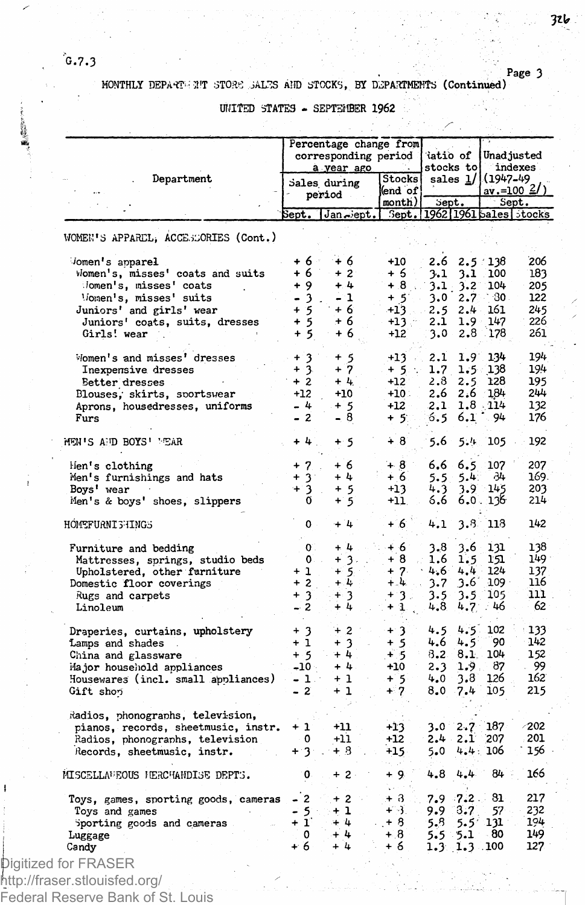(小説)

# **. Page 3 MONTHLY DEPART - 3'T STORS SALES AMD STOCKS, BY DEPARTMENTS (Continued)**

### **UNITED STATES - SEPTEMBER 1962**

|                                          | Percentage change from<br>corresponding period<br>a year ago |                        |                            | iatio of<br>stocks to          | Unadjusted<br>indexes                   |  |
|------------------------------------------|--------------------------------------------------------------|------------------------|----------------------------|--------------------------------|-----------------------------------------|--|
| Department                               |                                                              | Sales during<br>period | Stocks<br>end of<br>month) | sales 1/<br>Sept.              | (1947–49<br><u>av.=100 2/)</u><br>Sept. |  |
|                                          |                                                              | Sept.  Jan≂ept.        |                            | Sept. 1962 1961 bales stocks   |                                         |  |
| WOMEN'S APPAREL, ACCESSORIES (Cont.)     |                                                              |                        |                            |                                |                                         |  |
| Jomen's apparel                          | + 6                                                          | + 6                    | +10                        | 2.6                            | $2.5 \div 138$<br>206                   |  |
| Women's, misses' coats and suits         | + 6                                                          | $+2$                   | + 6                        | 3.1<br>3.1                     | 183<br>100                              |  |
| Jomen's, misses' coats                   | $+9$                                                         | $+4$                   | $+8$                       | $3.1 -$<br>$3.2^{\circ}$       | 104<br>205                              |  |
| Vomen's, misses' suits                   | - 3                                                          | - 1                    | $+5$                       | 3.0<br>2.7                     | 122<br>∵30⊹                             |  |
| Juniors' and girls' wear                 | $+5$                                                         | $+6$                   | +13                        | 2.5<br>$2.4 -$                 | 161<br>245                              |  |
| Juniors' coats, suits, dresses           | $+5$                                                         | + 6                    | +13.                       | 2.1<br>$1.9 -$                 | 226<br>147                              |  |
| Girls! wear                              | $+5$                                                         | + 6                    | +12                        | 2.8<br>3.0                     | 261<br>178                              |  |
| Women's and misses' dresses              | $+3$                                                         | + 5                    | $+13$                      | $1.9^{\circ}$<br>2.1           | 194<br>134                              |  |
| Inexpensive dresses                      | $+3$                                                         | $+7$                   | $+5.$                      | 1.7<br>$1.5 -$                 | 194<br>138                              |  |
| Better dresses                           | $+2$                                                         | $+4.$                  | $+12$                      | 2.8<br>2.5                     | 128<br>195                              |  |
| Blouses, skirts, sportswear              | $+12$                                                        | $+10$                  | $+10.$                     | 2.6<br>2.6                     | 244<br>184                              |  |
| Aprons, housedresses, uniforms           | $-4$                                                         | $+5$                   | +12                        | 2.1                            | $1.8$ $114$<br>132                      |  |
| Furs                                     | - 2                                                          | 8<br>$\blacksquare$    | $+5.$                      | 6.5<br>6.1                     | 94<br>176                               |  |
| MEN'S AND BOYS' MEAR                     | + 4                                                          | $+5$                   | $+8$                       | 5.4<br>5.6                     | 192<br>105                              |  |
| Hen's clothing                           | $\overline{7}$<br>$\ddot{}$                                  | + 6                    | $+8$                       | $6.6^{\circ}$<br>6.5           | 107<br>207                              |  |
| Men's furnishings and hats               | $+3$                                                         | $+4$                   | $+6$                       | 5.5<br>5.4                     | 169.<br>34                              |  |
| Boys' wear                               | 3<br>$^+$                                                    | $+5$                   | $+13$                      | 4.3<br>3.9                     | 145<br>203                              |  |
| Men's & boys' shoes, slippers            | ő                                                            | $+5$                   | $+11.$                     | 6.6                            | 6.0.136<br>214                          |  |
| HOMEFURNI SHINGS                         | 0                                                            | $+14$                  | $+6$                       | 4.1                            | 3.8 118<br>142                          |  |
| Furniture and bedding                    | $\mathbf{0}$                                                 | $+4$                   | + 6                        | 3.6<br>3.8                     | 131<br>138                              |  |
| Mattresses, springs, studio beds         | $0 -$                                                        | $+3.$                  | $+8$                       | 1.6<br>1.5                     | 151<br>149                              |  |
| Upholstered, other furniture             | $+1$                                                         | $+5$                   | $+ 7.$                     | $4.6^{\circ}$<br>$4.4 -$       | 124<br>137                              |  |
| Domestic floor coverings                 | $+2$                                                         | $+4$                   | $+ 4.$                     | 3.7<br>$3.6^{\circ}$           | $109 -$<br>116                          |  |
| Rugs and carpets                         | $+3$                                                         | $+3$                   | $+3.$                      | 3.5<br>$3.5 -$                 | 105<br>נננ                              |  |
| Linoleum                                 | $-2$                                                         | $+4$                   | $+1$ .                     | 4.8<br>4.7 <sub>1</sub>        | 62<br>. 46                              |  |
| Draperies, curtains, upholstery          | $+3$                                                         | $+2$                   | $+3$                       | 4.5<br>$4.5 -$                 | 102<br>133                              |  |
| Lamps and shades                         | $+1$                                                         | $+3$                   | $+5$                       | 4.6<br>$4.5^{\circ}$           | 142<br>90                               |  |
| China and glassware                      | $+5$                                                         | $+4$                   | $+5$                       | $8.2 -$<br>8.1                 | 104<br>152                              |  |
| Major household appliances               | $-10$                                                        | +4.                    | $+10$                      | 2.3<br>1.9.                    | 87<br>- 99                              |  |
| Housewares (incl. small appliances)      | - 1.1                                                        | $+1$                   | $+ 5$                      | 3.8<br>4.0                     | 162<br>126                              |  |
| Gift shon                                | - 2                                                          | + 1                    | $+7$                       | 8.0<br>7.4                     | 215<br>105                              |  |
| Radios, phonographs, television,         |                                                              |                        |                            |                                |                                         |  |
| pianos, records, sheetmusic, instr.      | $+1$                                                         | $+11$                  | +13                        | 2.7<br>3.0⊺                    | -202<br>187                             |  |
| Radios, phonographs, television          | 0                                                            | $+11$                  | +12                        | $2.4 -$<br>2.1                 | 201<br>207                              |  |
| Records, sheetmusic, instr.              | $+3.$                                                        | + 3                    | $+15$                      | 5.0                            | 4.4:106<br>156                          |  |
| MISCELLANEOUS HERCHANDISE DEPTS.         | 0                                                            | $+2$                   | $+9.$<br>i.                | 4.8<br>4.4.                    | 166<br>84                               |  |
| Toys, games, sporting goods, cameras - 2 |                                                              | $+2$                   | $+3$                       | $7.9 - 7.2$                    | 81<br>217                               |  |
| Toys and games                           | $\frac{5}{1}$                                                | $+1$                   | +∺3.                       | 9.9<br>3.7                     | 232<br>57                               |  |
| Sporting goods and cameras               |                                                              | $+4$                   | $+8$                       | $5.5^{\circ}$<br>$5.8^{\circ}$ | 194<br>131                              |  |
| Luggage                                  | 0                                                            | $+4$                   | $+8$                       | 5.5, 5.1                       | 149<br>80                               |  |
|                                          |                                                              |                        |                            |                                |                                         |  |
| Candy                                    | + 6                                                          | $+4$                   | + 6                        | $1.3$ 1.3 100                  | 127                                     |  |

Federal Reserve Bank of St. Louis